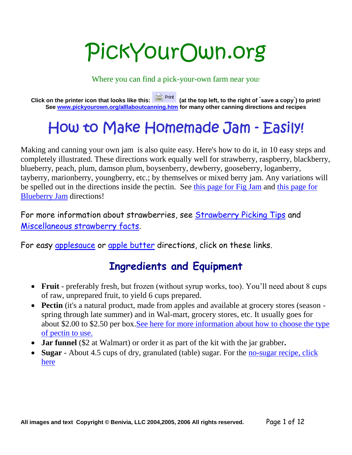# PickYourOwn.org

Where you can find a pick-your-own farm near you!

**Click on the printer icon that looks like this: (at the top left, to the right of " save a copy" ) to print! See www.pickyourown.org/alllaboutcanning.htm for many other canning directions and recipes**

## **How to Make Homemade Jam - Easily!**

Making and canning your own jam is also quite easy. Here's how to do it, in 10 easy steps and completely illustrated. These directions work equally well for strawberry, raspberry, blackberry, blueberry, peach, plum, damson plum, boysenberry, dewberry, gooseberry, loganberry, tayberry, marionberry, youngberry, etc.; by themselves or mixed berry jam. Any variations will be spelled out in the directions inside the pectin. See this page for Fig Jam and this page for Blueberry Jam directions!

For more information about strawberries, see Strawberry Picking Tips and Miscellaneous strawberry facts.

For easy applesauce or apple butter directions, click on these links.

## **Ingredients and Equipment**

- Fruit preferably fresh, but frozen (without syrup works, too). You'll need about 8 cups of raw, unprepared fruit, to yield 6 cups prepared.
- **Pectin** (it's a natural product, made from apples and available at grocery stores (season spring through late summer) and in Wal-mart, grocery stores, etc. It usually goes for about \$2.00 to \$2.50 per box.See here for more information about how to choose the type of pectin to use.
- **Jar funnel** (\$2 at Walmart) or order it as part of the kit with the jar grabber**.**
- **Sugar** About 4.5 cups of dry, granulated (table) sugar. For the no-sugar recipe, click here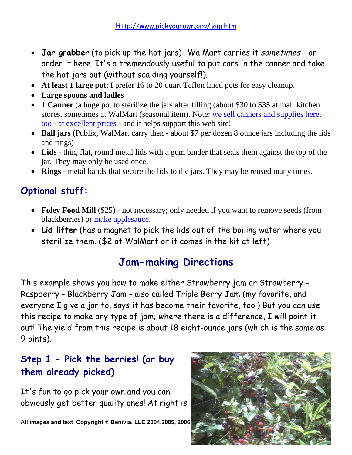- **Jar grabber** (to pick up the hot jars)- WalMart carries it *sometimes* or order it here. It's a tremendously useful to put cars in the canner and take the hot jars out (without scalding yourself!).
- **At least 1 large pot**; I prefer 16 to 20 quart Teflon lined pots for easy cleanup.
- **Large spoons and ladles**
- **1 Canner** (a huge pot to sterilize the jars after filling (about \$30 to \$35 at mall kitchen stores, sometimes at WalMart (seasonal item). Note: we sell canners and supplies here, too - at excellent prices - and it helps support this web site!
- **Ball jars** (Publix, WalMart carry then about \$7 per dozen 8 ounce jars including the lids and rings)
- **Lids** thin, flat, round metal lids with a gum binder that seals them against the top of the jar. They may only be used once.
- **Rings** metal bands that secure the lids to the jars. They may be reused many times.

## **Optional stuff:**

- Foley Food Mill (\$25) not necessary; only needed if you want to remove seeds (from blackberries) or make applesauce.
- **Lid lifter** (has a magnet to pick the lids out of the boiling water where you sterilize them. (\$2 at WalMart or it comes in the kit at left)

## **Jam-making Directions**

This example shows you how to make either Strawberry jam or Strawberry - Raspberry - Blackberry Jam - also called Triple Berry Jam (my favorite, and everyone I give a jar to, says it has become their favorite, too!) But you can use this recipe to make any type of jam; where there is a difference, I will point it out! The yield from this recipe is about 18 eight-ounce jars (which is the same as 9 pints).

#### **Step 1 - Pick the berries! (or buy them already picked)**

It's fun to go pick your own and you can obviously get better quality ones! At right is

**All images and text Copyright © Benivia, LLC 2004,2005, 2006** 

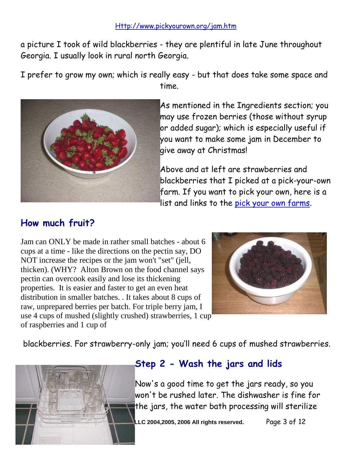a picture I took of wild blackberries - they are plentiful in late June throughout Georgia. I usually look in rural north Georgia.

I prefer to grow my own; which is really easy - but that does take some space and time.



As mentioned in the Ingredients section; you may use frozen berries (those without syrup or added sugar); which is especially useful if you want to make some jam in December to give away at Christmas!

Above and at left are strawberries and blackberries that I picked at a pick-your-own farm. If you want to pick your own, here is a list and links to the pick your own farms.

#### **How much fruit?**

Jam can ONLY be made in rather small batches - about 6 cups at a time - like the directions on the pectin say, DO NOT increase the recipes or the jam won't "set" (jell, thicken). (WHY? Alton Brown on the food channel says pectin can overcook easily and lose its thickening properties. It is easier and faster to get an even heat distribution in smaller batches. . It takes about 8 cups of raw, unprepared berries per batch. For triple berry jam, I use 4 cups of mushed (slightly crushed) strawberries, 1 cup of raspberries and 1 cup of



blackberries. For strawberry-only jam; you'll need 6 cups of mushed strawberries.



#### **Step 2 - Wash the jars and lids**

Now's a good time to get the jars ready, so you won't be rushed later. The dishwasher is fine for the jars, the water bath processing will sterilize

**All images and text Copyright © Benivia, LLC 2004,2005, 2006 All rights reserved.** Page 3 of 12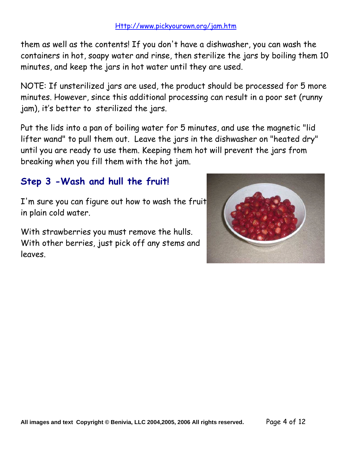them as well as the contents! If you don't have a dishwasher, you can wash the containers in hot, soapy water and rinse, then sterilize the jars by boiling them 10 minutes, and keep the jars in hot water until they are used.

NOTE: If unsterilized jars are used, the product should be processed for 5 more minutes. However, since this additional processing can result in a poor set (runny jam), it's better to sterilized the jars.

Put the lids into a pan of boiling water for 5 minutes, and use the magnetic "lid lifter wand" to pull them out. Leave the jars in the dishwasher on "heated dry" until you are ready to use them. Keeping them hot will prevent the jars from breaking when you fill them with the hot jam.

#### **Step 3 -Wash and hull the fruit!**

I'm sure you can figure out how to wash the fruit in plain cold water.

With strawberries you must remove the hulls. With other berries, just pick off any stems and leaves.

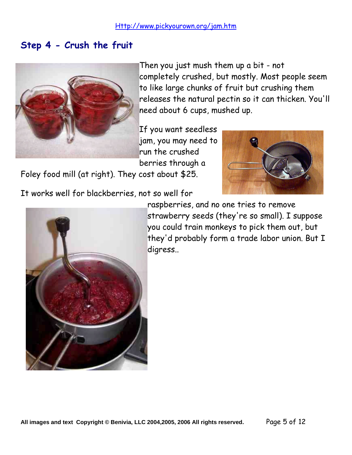#### **Step 4 - Crush the fruit**



Then you just mush them up a bit - not completely crushed, but mostly. Most people seem to like large chunks of fruit but crushing them releases the natural pectin so it can thicken. You'll need about 6 cups, mushed up.

If you want seedless jam, you may need to run the crushed berries through a

Foley food mill (at right). They cost about \$25.

It works well for blackberries, not so well for





raspberries, and no one tries to remove strawberry seeds (they're so small). I suppose you could train monkeys to pick them out, but they'd probably form a trade labor union. But I digress..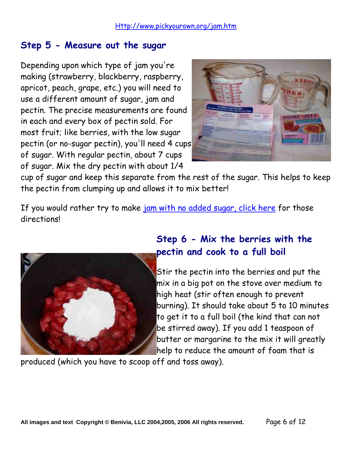#### **Step 5 - Measure out the sugar**

Depending upon which type of jam you're making (strawberry, blackberry, raspberry, apricot, peach, grape, etc.) you will need to use a different amount of sugar, jam and pectin. The precise measurements are found in each and every box of pectin sold. For most fruit; like berries, with the low sugar pectin (or no-sugar pectin), you'll need 4 cups of sugar. With regular pectin, about 7 cups of sugar. Mix the dry pectin with about 1/4



cup of sugar and keep this separate from the rest of the sugar. This helps to keep the pectin from clumping up and allows it to mix better!

If you would rather try to make jam with no added sugar, click here for those directions!



### **Step 6 - Mix the berries with the pectin and cook to a full boil**

Stir the pectin into the berries and put the mix in a big pot on the stove over medium to high heat (stir often enough to prevent burning). It should take about 5 to 10 minutes to get it to a full boil (the kind that can not be stirred away). If you add 1 teaspoon of butter or margarine to the mix it will greatly help to reduce the amount of foam that is

produced (which you have to scoop off and toss away).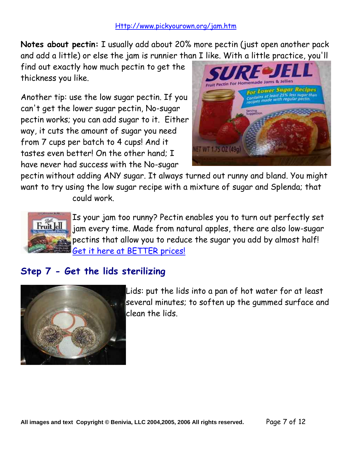**Notes about pectin:** I usually add about 20% more pectin (just open another pack and add a little) or else the jam is runnier than I like. With a little practice, you'll

find out exactly how much pectin to get the thickness you like.

Another tip: use the low sugar pectin. If you can't get the lower sugar pectin, No-sugar pectin works; you can add sugar to it. Either way, it cuts the amount of sugar you need from 7 cups per batch to 4 cups! And it tastes even better! On the other hand; I have never had success with the No-sugar



pectin without adding ANY sugar. It always turned out runny and bland. You might want to try using the low sugar recipe with a mixture of sugar and Splenda; that could work.



Is your jam too runny? Pectin enables you to turn out perfectly set jam every time. Made from natural apples, there are also low-sugar pectins that allow you to reduce the sugar you add by almost half! Get it here at BETTER prices!

#### **Step 7 - Get the lids sterilizing**



Lids: put the lids into a pan of hot water for at least several minutes; to soften up the gummed surface and clean the lids.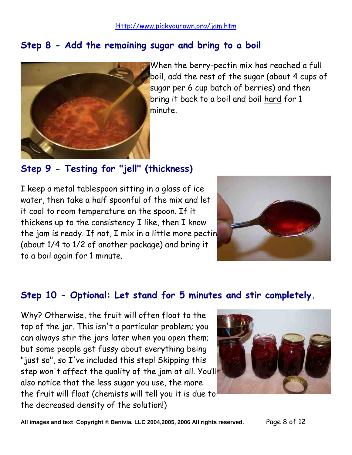#### **Step 8 - Add the remaining sugar and bring to a boil**



When the berry-pectin mix has reached a full boil, add the rest of the sugar (about 4 cups of sugar per 6 cup batch of berries) and then bring it back to a boil and boil hard for 1 minute.

#### **Step 9 - Testing for "jell" (thickness)**

I keep a metal tablespoon sitting in a glass of ice water, then take a half spoonful of the mix and let it cool to room temperature on the spoon. If it thickens up to the consistency I like, then I know the jam is ready. If not, I mix in a little more pectin (about 1/4 to 1/2 of another package) and bring it to a boil again for 1 minute.



#### **Step 10 - Optional: Let stand for 5 minutes and stir completely.**

Why? Otherwise, the fruit will often float to the top of the jar. This isn't a particular problem; you can always stir the jars later when you open them; but some people get fussy about everything being "just so", so I've included this step! Skipping this step won't affect the quality of the jam at all. You'll also notice that the less sugar you use, the more the fruit will float (chemists will tell you it is due to the decreased density of the solution!)

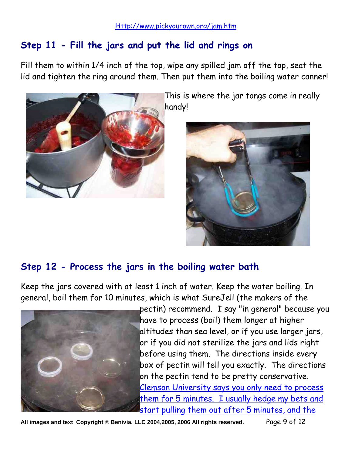#### **Step 11 - Fill the jars and put the lid and rings on**

Fill them to within 1/4 inch of the top, wipe any spilled jam off the top, seat the lid and tighten the ring around them. Then put them into the boiling water canner!



This is where the jar tongs come in really handy!



#### **Step 12 - Process the jars in the boiling water bath**

Keep the jars covered with at least 1 inch of water. Keep the water boiling. In general, boil them for 10 minutes, which is what SureJell (the makers of the



pectin) recommend. I say "in general" because you have to process (boil) them longer at higher altitudes than sea level, or if you use larger jars, or if you did not sterilize the jars and lids right before using them. The directions inside every box of pectin will tell you exactly. The directions on the pectin tend to be pretty conservative. Clemson University says you only need to process them for 5 minutes. I usually hedge my bets and start pulling them out after 5 minutes, and the

**All images and text Copyright © Benivia, LLC 2004,2005, 2006 All rights reserved.** Page 9 of 12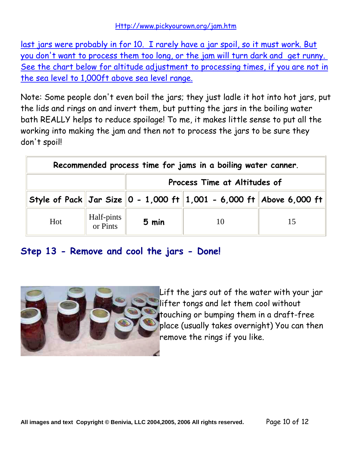last jars were probably in for 10. I rarely have a jar spoil, so it must work. But you don't want to process them too long, or the jam will turn dark and get runny. See the chart below for altitude adjustment to processing times, if you are not in the sea level to 1,000ft above sea level range.

Note: Some people don't even boil the jars; they just ladle it hot into hot jars, put the lids and rings on and invert them, but putting the jars in the boiling water bath REALLY helps to reduce spoilage! To me, it makes little sense to put all the working into making the jam and then not to process the jars to be sure they don't spoil!

| Recommended process time for jams in a boiling water canner. |                        |                              |                                                                     |    |  |
|--------------------------------------------------------------|------------------------|------------------------------|---------------------------------------------------------------------|----|--|
|                                                              |                        | Process Time at Altitudes of |                                                                     |    |  |
|                                                              |                        |                              | Style of Pack Jar Size 0 - 1,000 ft 1,001 - 6,000 ft Above 6,000 ft |    |  |
| Hot                                                          | Half-pints<br>or Pints | 5 min                        |                                                                     | 15 |  |

#### **Step 13 - Remove and cool the jars - Done!**



Lift the jars out of the water with your jar lifter tongs and let them cool without touching or bumping them in a draft-free place (usually takes overnight) You can then remove the rings if you like.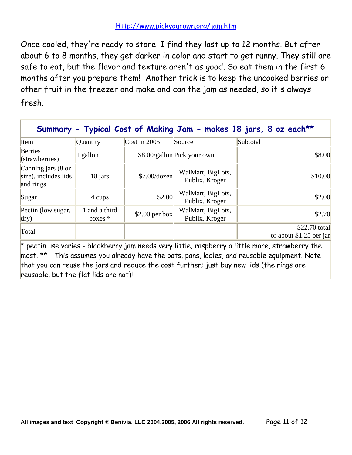Once cooled, they're ready to store. I find they last up to 12 months. But after about 6 to 8 months, they get darker in color and start to get runny. They still are safe to eat, but the flavor and texture aren't as good. So eat them in the first 6 months after you prepare them! Another trick is to keep the uncooked berries or other fruit in the freezer and make and can the jam as needed, so it's always fresh.

| Berries                                                            |                            |                      |                                     |                                          |
|--------------------------------------------------------------------|----------------------------|----------------------|-------------------------------------|------------------------------------------|
| $\left($ strawberries $\right)$                                    | $\vert$ 1 gallon           |                      | \$8.00/gallon Pick your own         | \$8.00                                   |
| Canning jars $(8 \text{ oz})$<br>size), includes lids<br>and rings | 18 jars                    | $$7.00/\text{dozen}$ | WalMart, BigLots,<br>Publix, Kroger | \$10.00                                  |
| Sugar                                                              | 4 cups                     | \$2.00               | WalMart, BigLots,<br>Publix, Kroger | \$2.00                                   |
| Pectin (low sugar,<br>$\text{dry}$                                 | 1 and a third<br>boxes $*$ | $$2.00$ per box      | WalMart, BigLots,<br>Publix, Kroger | \$2.70                                   |
| Total                                                              |                            |                      |                                     | \$22.70 total<br>or about \$1.25 per jar |